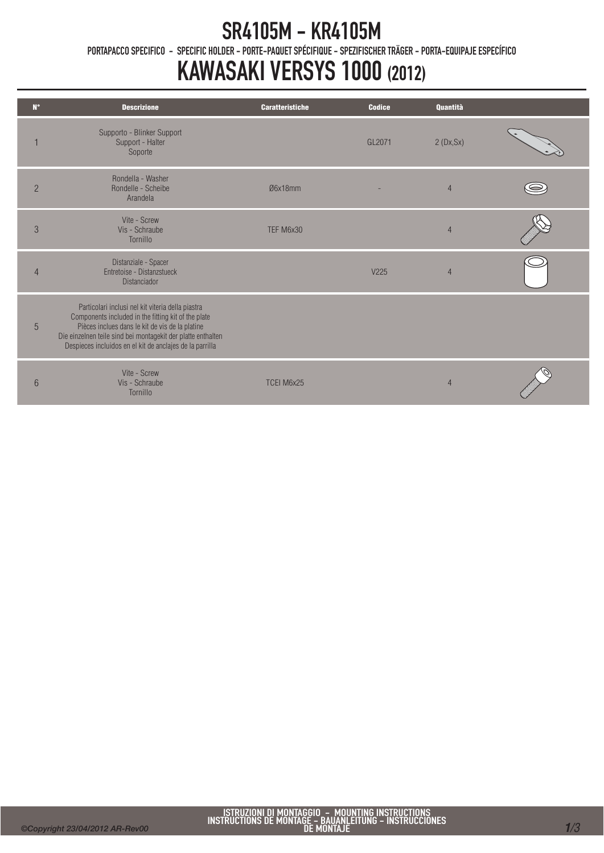## SR4105M - KR4105M

PORTAPACCO SPECIFICO - SPECIFIC HOLDER - PORTE-PAQUET SPÉCIFIQUE - SPEZIFISCHER TRÄGER - PORTA-EQUIPAJE ESPECÍFICO

## KAWASAKI VERSYS 1000 (2012)

| $N^{\circ}$    | <b>Descrizione</b>                                                                                                                                                                                                                                                                      | <b>Caratteristiche</b> | <b>Codice</b>    | Quantità       |  |
|----------------|-----------------------------------------------------------------------------------------------------------------------------------------------------------------------------------------------------------------------------------------------------------------------------------------|------------------------|------------------|----------------|--|
|                | Supporto - Blinker Support<br>Support - Halter<br>Soporte                                                                                                                                                                                                                               |                        | GL2071           | 2(Dx, Sx)      |  |
| $\overline{2}$ | Rondella - Washer<br>Rondelle - Scheibe<br>Arandela                                                                                                                                                                                                                                     | Ø6x18mm                |                  | $\overline{4}$ |  |
| $\mathcal{S}$  | Vite - Screw<br>Vis - Schraube<br>Tornillo                                                                                                                                                                                                                                              | TEF M6x30              |                  | $\overline{4}$ |  |
| 4              | Distanziale - Spacer<br>Entretoise - Distanzstueck<br><b>Distanciador</b>                                                                                                                                                                                                               |                        | V <sub>225</sub> | $\overline{4}$ |  |
| 5              | Particolari inclusi nel kit viteria della piastra<br>Components included in the fitting kit of the plate<br>Pièces inclues dans le kit de vis de la platine<br>Die einzelnen teile sind bei montagekit der platte enthalten<br>Despieces incluidos en el kit de anclajes de la parrilla |                        |                  |                |  |
| 6              | Vite - Screw<br>Vis - Schraube<br>Tornillo                                                                                                                                                                                                                                              | TCEI M6x25             |                  | $\overline{4}$ |  |